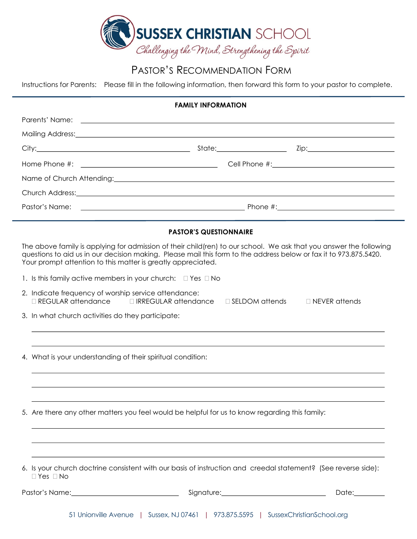

## PASTOR'S RECOMMENDATION FORM

Instructions for Parents: Please fill in the following information, then forward this form to your pastor to complete.

| <b>FAMILY INFORMATION</b> |                                                                                                                                                                                                                                                                                                         |                                               |
|---------------------------|---------------------------------------------------------------------------------------------------------------------------------------------------------------------------------------------------------------------------------------------------------------------------------------------------------|-----------------------------------------------|
|                           | Parents' Name:                                                                                                                                                                                                                                                                                          |                                               |
|                           | Mailing Address: Mailing Address: Mail and Mailing Address: Mail and Mail and Mail and Mail and Mail and Mail                                                                                                                                                                                           |                                               |
|                           |                                                                                                                                                                                                                                                                                                         |                                               |
|                           |                                                                                                                                                                                                                                                                                                         |                                               |
|                           |                                                                                                                                                                                                                                                                                                         |                                               |
|                           |                                                                                                                                                                                                                                                                                                         |                                               |
| Pastor's Name:            |                                                                                                                                                                                                                                                                                                         |                                               |
|                           | <b>PASTOR'S QUESTIONNAIRE</b>                                                                                                                                                                                                                                                                           |                                               |
|                           | The above family is applying for admission of their child(ren) to our school. We ask that you answer the following<br>questions to aid us in our decision making. Please mail this form to the address below or fax it to 973.875.5420.<br>Your prompt attention to this matter is greatly appreciated. |                                               |
|                           | 1. Is this family active members in your church: $\Box$ Yes $\Box$ No                                                                                                                                                                                                                                   |                                               |
|                           | 2. Indicate frequency of worship service attendance:<br>□ REGULAR attendance<br>$\Box$ IRREGULAR attendance                                                                                                                                                                                             | $\Box$ NEVER attends<br>$\Box$ SELDOM attends |
|                           | 3. In what church activities do they participate:                                                                                                                                                                                                                                                       |                                               |
|                           |                                                                                                                                                                                                                                                                                                         |                                               |
|                           | 4. What is your understanding of their spiritual condition:                                                                                                                                                                                                                                             |                                               |
|                           |                                                                                                                                                                                                                                                                                                         |                                               |
|                           | 5. Are there any other matters you feel would be helpful for us to know regarding this family:                                                                                                                                                                                                          |                                               |
|                           |                                                                                                                                                                                                                                                                                                         |                                               |
|                           | 6. Is your church doctrine consistent with our basis of instruction and creedal statement? (See reverse side):<br>$\Box$ Yes $\Box$ No                                                                                                                                                                  |                                               |
|                           |                                                                                                                                                                                                                                                                                                         | Date:________                                 |
|                           |                                                                                                                                                                                                                                                                                                         |                                               |